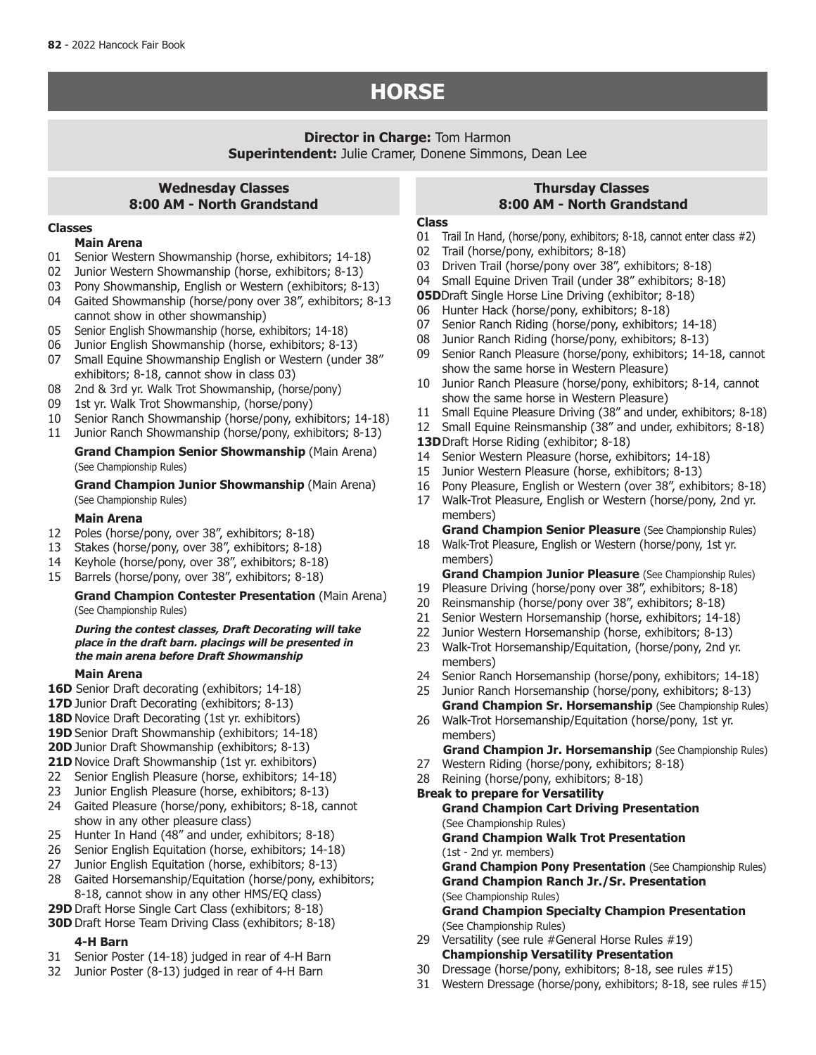# **HORSE**

## **Director in Charge:** Tom Harmon **Superintendent:** Julie Cramer, Donene Simmons, Dean Lee

# **Wednesday Classes 8:00 AM - North Grandstand**

#### **Classes**

#### **Main Arena**

- 01 Senior Western Showmanship (horse, exhibitors; 14-18)
- 02 Junior Western Showmanship (horse, exhibitors; 8-13)
- 03 Pony Showmanship, English or Western (exhibitors; 8-13)
- 04 Gaited Showmanship (horse/pony over 38", exhibitors; 8-13 cannot show in other showmanship)
- 05 Senior English Showmanship (horse, exhibitors; 14-18)
- 06 Junior English Showmanship (horse, exhibitors; 8-13)
- 07 Small Equine Showmanship English or Western (under 38" exhibitors; 8-18, cannot show in class 03)
- 08 2nd & 3rd yr. Walk Trot Showmanship, (horse/pony)
- 09 1st yr. Walk Trot Showmanship, (horse/pony)
- 10 Senior Ranch Showmanship (horse/pony, exhibitors; 14-18)
- 11 Junior Ranch Showmanship (horse/pony, exhibitors; 8-13)

**Grand Champion Senior Showmanship** (Main Arena) (See Championship Rules)

**Grand Champion Junior Showmanship** (Main Arena) (See Championship Rules)

### **Main Arena**

- 12 Poles (horse/pony, over 38", exhibitors; 8-18)
- 13 Stakes (horse/pony, over 38", exhibitors; 8-18)
- 14 Keyhole (horse/pony, over 38", exhibitors; 8-18)
- 15 Barrels (horse/pony, over 38", exhibitors; 8-18)

### **Grand Champion Contester Presentation** (Main Arena) (See Championship Rules)

#### **During the contest classes, Draft Decorating will take place in the draft barn. placings will be presented in the main arena before Draft Showmanship**

#### **Main Arena**

- **16D** Senior Draft decorating (exhibitors; 14-18)
- **17D** Junior Draft Decorating (exhibitors; 8-13)
- 18D Novice Draft Decorating (1st yr. exhibitors)
- 19D Senior Draft Showmanship (exhibitors; 14-18)
- **20D** Junior Draft Showmanship (exhibitors; 8-13)
- **21D** Novice Draft Showmanship (1st yr. exhibitors)
- 22 Senior English Pleasure (horse, exhibitors; 14-18)
- 23 Junior English Pleasure (horse, exhibitors; 8-13)
- 24 Gaited Pleasure (horse/pony, exhibitors; 8-18, cannot show in any other pleasure class)
- 25 Hunter In Hand (48" and under, exhibitors; 8-18)
- 26 Senior English Equitation (horse, exhibitors; 14-18)
- 27 Junior English Equitation (horse, exhibitors; 8-13)
- 28 Gaited Horsemanship/Equitation (horse/pony, exhibitors; 8-18, cannot show in any other HMS/EQ class)
- **29D** Draft Horse Single Cart Class (exhibitors; 8-18)
- **30D** Draft Horse Team Driving Class (exhibitors; 8-18)

### **4-H Barn**

- 31 Senior Poster (14-18) judged in rear of 4-H Barn
- 32 Junior Poster (8-13) judged in rear of 4-H Barn

# **Thursday Classes 8:00 AM - North Grandstand**

#### **Class**

- 01 Trail In Hand, (horse/pony, exhibitors; 8-18, cannot enter class #2)
- 02 Trail (horse/pony, exhibitors; 8-18)
- 03 Driven Trail (horse/pony over 38", exhibitors; 8-18)
- 04 Small Equine Driven Trail (under 38" exhibitors; 8-18)
- **05D**Draft Single Horse Line Driving (exhibitor; 8-18)
- 
- Senior Ranch Riding (horse/pony, exhibitors; 14-18)
- 08 Junior Ranch Riding (horse/pony, exhibitors; 8-13)
- 09 Senior Ranch Pleasure (horse/pony, exhibitors; 14-18, cannot show the same horse in Western Pleasure)
- 10 Junior Ranch Pleasure (horse/pony, exhibitors; 8-14, cannot show the same horse in Western Pleasure)
- 11 Small Equine Pleasure Driving (38" and under, exhibitors; 8-18)
- 12 Small Equine Reinsmanship (38" and under, exhibitors; 8-18)
- 13DDraft Horse Riding (exhibitor; 8-18)
- 14 Senior Western Pleasure (horse, exhibitors; 14-18)
- 15 Junior Western Pleasure (horse, exhibitors; 8-13)
- 16 Pony Pleasure, English or Western (over 38", exhibitors; 8-18)
- 17 Walk-Trot Pleasure, English or Western (horse/pony, 2nd yr.
	- members) **Grand Champion Senior Pleasure** (See Championship Rules)
- 18 Walk-Trot Pleasure, English or Western (horse/pony, 1st yr. members)

# **Grand Champion Junior Pleasure** (See Championship Rules)

- 19 Pleasure Driving (horse/pony over 38", exhibitors; 8-18)
- 20 Reinsmanship (horse/pony over 38", exhibitors; 8-18)
- 21 Senior Western Horsemanship (horse, exhibitors; 14-18)<br>22 Junior Western Horsemanship (horse, exhibitors: 8-13)
- Junior Western Horsemanship (horse, exhibitors; 8-13)
- 23 Walk-Trot Horsemanship/Equitation, (horse/pony, 2nd yr. members)
- 24 Senior Ranch Horsemanship (horse/pony, exhibitors; 14-18)
- 25 Junior Ranch Horsemanship (horse/pony, exhibitors; 8-13) **Grand Champion Sr. Horsemanship** (See Championship Rules)
- 26 Walk-Trot Horsemanship/Equitation (horse/pony, 1st yr. members)

**Grand Champion Jr. Horsemanship** (See Championship Rules)

- 27 Western Riding (horse/pony, exhibitors; 8-18)
- 28 Reining (horse/pony, exhibitors; 8-18)
- **Break to prepare for Versatility Grand Champion Cart Driving Presentation**  (See Championship Rules) **Grand Champion Walk Trot Presentation**  (1st - 2nd yr. members) **Grand Champion Pony Presentation** (See Championship Rules) **Grand Champion Ranch Jr./Sr. Presentation** (See Championship Rules) **Grand Champion Specialty Champion Presentation**  (See Championship Rules)
- 29 Versatility (see rule #General Horse Rules #19)
- **Championship Versatility Presentation** 30 Dressage (horse/pony, exhibitors; 8-18, see rules #15)
- 31 Western Dressage (horse/pony, exhibitors; 8-18, see rules #15)
- 
- 06 Hunter Hack (horse/pony, exhibitors; 8-18)<br>07 Senior Ranch Riding (horse/pony, exhibitors
- 
- 
- 
- 
-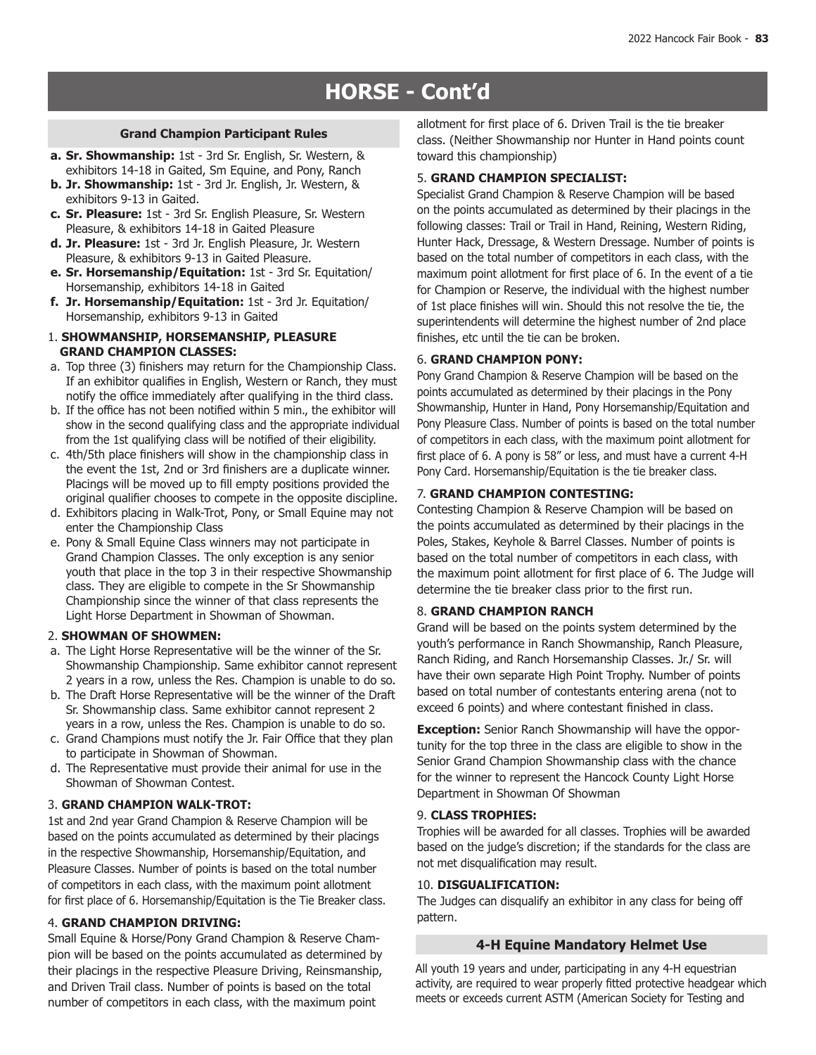# **HORSE - Cont'd**

- **a. Sr. Showmanship:** 1st 3rd Sr. English, Sr. Western, & exhibitors 14-18 in Gaited, Sm Equine, and Pony, Ranch
- **b. Jr. Showmanship:** 1st 3rd Jr. English, Jr. Western, & exhibitors 9-13 in Gaited.
- **c. Sr. Pleasure:** 1st 3rd Sr. English Pleasure, Sr. Western Pleasure, & exhibitors 14-18 in Gaited Pleasure
- **d. Jr. Pleasure:** 1st 3rd Jr. English Pleasure, Jr. Western Pleasure, & exhibitors 9-13 in Gaited Pleasure.
- **e. Sr. Horsemanship/Equitation:** 1st 3rd Sr. Equitation/ Horsemanship, exhibitors 14-18 in Gaited
- **f. Jr. Horsemanship/Equitation:** 1st 3rd Jr. Equitation/ Horsemanship, exhibitors 9-13 in Gaited
- 1. **SHOWMANSHIP, HORSEMANSHIP, PLEASURE GRAND CHAMPION CLASSES:**
- a. Top three (3) finishers may return for the Championship Class. If an exhibitor qualifies in English, Western or Ranch, they must notify the office immediately after qualifying in the third class.
- b. If the office has not been notified within 5 min., the exhibitor will show in the second qualifying class and the appropriate individual from the 1st qualifying class will be notified of their eligibility.
- c. 4th/5th place finishers will show in the championship class in the event the 1st, 2nd or 3rd finishers are a duplicate winner. Placings will be moved up to fill empty positions provided the original qualifier chooses to compete in the opposite discipline.
- d. Exhibitors placing in Walk-Trot, Pony, or Small Equine may not enter the Championship Class
- e. Pony & Small Equine Class winners may not participate in Grand Champion Classes. The only exception is any senior youth that place in the top 3 in their respective Showmanship class. They are eligible to compete in the Sr Showmanship Championship since the winner of that class represents the Light Horse Department in Showman of Showman.

#### 2. **SHOWMAN OF SHOWMEN:**

- a. The Light Horse Representative will be the winner of the Sr. Showmanship Championship. Same exhibitor cannot represent 2 years in a row, unless the Res. Champion is unable to do so.
- b. The Draft Horse Representative will be the winner of the Draft Sr. Showmanship class. Same exhibitor cannot represent 2 years in a row, unless the Res. Champion is unable to do so.
- c. Grand Champions must notify the Jr. Fair Office that they plan to participate in Showman of Showman.
- d. The Representative must provide their animal for use in the Showman of Showman Contest.

# 3. **GRAND CHAMPION WALK-TROT:**

1st and 2nd year Grand Champion & Reserve Champion will be based on the points accumulated as determined by their placings in the respective Showmanship, Horsemanship/Equitation, and Pleasure Classes. Number of points is based on the total number of competitors in each class, with the maximum point allotment for first place of 6. Horsemanship/Equitation is the Tie Breaker class.

# 4. **GRAND CHAMPION DRIVING:**

Small Equine & Horse/Pony Grand Champion & Reserve Champion will be based on the points accumulated as determined by their placings in the respective Pleasure Driving, Reinsmanship, and Driven Trail class. Number of points is based on the total number of competitors in each class, with the maximum point

allotment for first place of 6. Driven Trail is the tie breaker<br>Grand Champion Participant Rules<br>
also also also also chairmanship not lumbs in land points on class. (Neither Showmanship nor Hunter in Hand points count toward this championship)

# 5. **GRAND CHAMPION SPECIALIST:**

Specialist Grand Champion & Reserve Champion will be based on the points accumulated as determined by their placings in the following classes: Trail or Trail in Hand, Reining, Western Riding, Hunter Hack, Dressage, & Western Dressage. Number of points is based on the total number of competitors in each class, with the maximum point allotment for first place of 6. In the event of a tie for Champion or Reserve, the individual with the highest number of 1st place finishes will win. Should this not resolve the tie, the superintendents will determine the highest number of 2nd place finishes, etc until the tie can be broken.

### 6. **GRAND CHAMPION PONY:**

Pony Grand Champion & Reserve Champion will be based on the points accumulated as determined by their placings in the Pony Showmanship, Hunter in Hand, Pony Horsemanship/Equitation and Pony Pleasure Class. Number of points is based on the total number of competitors in each class, with the maximum point allotment for first place of 6. A pony is 58" or less, and must have a current 4-H Pony Card. Horsemanship/Equitation is the tie breaker class.

# 7. **GRAND CHAMPION CONTESTING:**

Contesting Champion & Reserve Champion will be based on the points accumulated as determined by their placings in the Poles, Stakes, Keyhole & Barrel Classes. Number of points is based on the total number of competitors in each class, with the maximum point allotment for first place of 6. The Judge will determine the tie breaker class prior to the first run.

# 8. **GRAND CHAMPION RANCH**

Grand will be based on the points system determined by the youth's performance in Ranch Showmanship, Ranch Pleasure, Ranch Riding, and Ranch Horsemanship Classes. Jr./ Sr. will have their own separate High Point Trophy. Number of points based on total number of contestants entering arena (not to exceed 6 points) and where contestant finished in class.

**Exception:** Senior Ranch Showmanship will have the opportunity for the top three in the class are eligible to show in the Senior Grand Champion Showmanship class with the chance for the winner to represent the Hancock County Light Horse Department in Showman Of Showman

# 9. **CLASS TROPHIES:**

Trophies will be awarded for all classes. Trophies will be awarded based on the judge's discretion; if the standards for the class are not met disqualification may result.

#### 10. **DISGUALIFICATION:**

The Judges can disqualify an exhibitor in any class for being off pattern.

# **4-H Equine Mandatory Helmet Use**

All youth 19 years and under, participating in any 4-H equestrian activity, are required to wear properly fitted protective headgear which meets or exceeds current ASTM (American Society for Testing and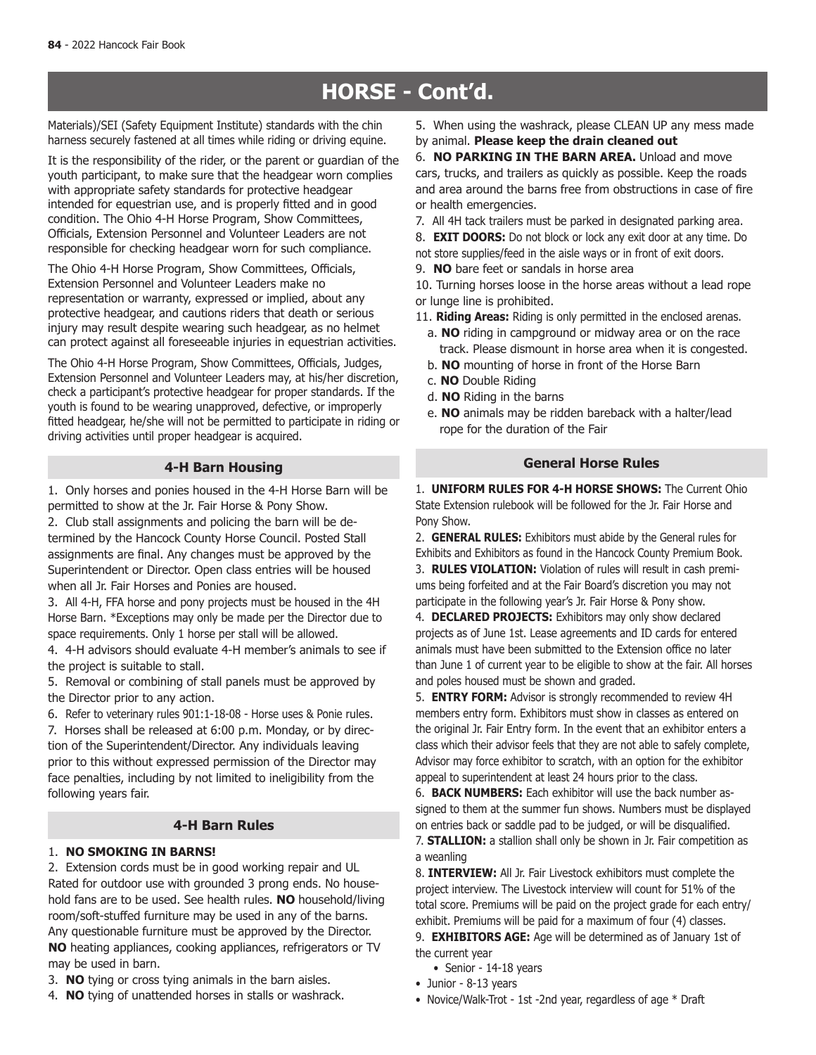# **HORSE - Cont'd.**

Materials)/SEI (Safety Equipment Institute) standards with the chin harness securely fastened at all times while riding or driving equine.

It is the responsibility of the rider, or the parent or guardian of the youth participant, to make sure that the headgear worn complies with appropriate safety standards for protective headgear intended for equestrian use, and is properly fitted and in good condition. The Ohio 4-H Horse Program, Show Committees, Officials, Extension Personnel and Volunteer Leaders are not responsible for checking headgear worn for such compliance.

The Ohio 4-H Horse Program, Show Committees, Officials, Extension Personnel and Volunteer Leaders make no representation or warranty, expressed or implied, about any protective headgear, and cautions riders that death or serious injury may result despite wearing such headgear, as no helmet can protect against all foreseeable injuries in equestrian activities.

The Ohio 4-H Horse Program, Show Committees, Officials, Judges, Extension Personnel and Volunteer Leaders may, at his/her discretion, check a participant's protective headgear for proper standards. If the youth is found to be wearing unapproved, defective, or improperly fitted headgear, he/she will not be permitted to participate in riding or driving activities until proper headgear is acquired.

# **4-H Barn Housing**

1. Only horses and ponies housed in the 4-H Horse Barn will be permitted to show at the Jr. Fair Horse & Pony Show.

2. Club stall assignments and policing the barn will be determined by the Hancock County Horse Council. Posted Stall assignments are final. Any changes must be approved by the Superintendent or Director. Open class entries will be housed when all Jr. Fair Horses and Ponies are housed.

3. All 4-H, FFA horse and pony projects must be housed in the 4H Horse Barn. \*Exceptions may only be made per the Director due to space requirements. Only 1 horse per stall will be allowed.

4. 4-H advisors should evaluate 4-H member's animals to see if the project is suitable to stall.

5. Removal or combining of stall panels must be approved by the Director prior to any action.

6. Refer to veterinary rules 901:1-18-08 - Horse uses & Ponie rules.

7. Horses shall be released at 6:00 p.m. Monday, or by direction of the Superintendent/Director. Any individuals leaving prior to this without expressed permission of the Director may face penalties, including by not limited to ineligibility from the following years fair.

# **4-H Barn Rules**

# 1. **NO SMOKING IN BARNS!**

2. Extension cords must be in good working repair and UL Rated for outdoor use with grounded 3 prong ends. No household fans are to be used. See health rules. **NO** household/living room/soft-stuffed furniture may be used in any of the barns. Any questionable furniture must be approved by the Director. **NO** heating appliances, cooking appliances, refrigerators or TV may be used in barn.

- 3. **NO** tying or cross tying animals in the barn aisles.
- 4. **NO** tying of unattended horses in stalls or washrack.

5. When using the washrack, please CLEAN UP any mess made by animal. **Please keep the drain cleaned out**

6. **NO PARKING IN THE BARN AREA.** Unload and move cars, trucks, and trailers as quickly as possible. Keep the roads and area around the barns free from obstructions in case of fire or health emergencies.

7. All 4H tack trailers must be parked in designated parking area.

8. **EXIT DOORS:** Do not block or lock any exit door at any time. Do not store supplies/feed in the aisle ways or in front of exit doors.

9. **NO** bare feet or sandals in horse area

10. Turning horses loose in the horse areas without a lead rope or lunge line is prohibited.

- 11. **Riding Areas:** Riding is only permitted in the enclosed arenas.
	- a. **NO** riding in campground or midway area or on the race track. Please dismount in horse area when it is congested.
	- b. **NO** mounting of horse in front of the Horse Barn
	- c. **NO** Double Riding
	- d. **NO** Riding in the barns
	- e. **NO** animals may be ridden bareback with a halter/lead rope for the duration of the Fair

# **General Horse Rules**

1. **UNIFORM RULES FOR 4-H HORSE SHOWS:** The Current Ohio State Extension rulebook will be followed for the Jr. Fair Horse and Pony Show.

2. **GENERAL RULES:** Exhibitors must abide by the General rules for Exhibits and Exhibitors as found in the Hancock County Premium Book. 3. **RULES VIOLATION:** Violation of rules will result in cash premiums being forfeited and at the Fair Board's discretion you may not participate in the following year's Jr. Fair Horse & Pony show.

4. **DECLARED PROJECTS:** Exhibitors may only show declared projects as of June 1st. Lease agreements and ID cards for entered animals must have been submitted to the Extension office no later than June 1 of current year to be eligible to show at the fair. All horses and poles housed must be shown and graded.

5. **ENTRY FORM:** Advisor is strongly recommended to review 4H members entry form. Exhibitors must show in classes as entered on the original Jr. Fair Entry form. In the event that an exhibitor enters a class which their advisor feels that they are not able to safely complete, Advisor may force exhibitor to scratch, with an option for the exhibitor appeal to superintendent at least 24 hours prior to the class.

6. **BACK NUMBERS:** Each exhibitor will use the back number assigned to them at the summer fun shows. Numbers must be displayed on entries back or saddle pad to be judged, or will be disqualified. 7. **STALLION:** a stallion shall only be shown in Jr. Fair competition as a weanling

8. **INTERVIEW:** All Jr. Fair Livestock exhibitors must complete the project interview. The Livestock interview will count for 51% of the total score. Premiums will be paid on the project grade for each entry/ exhibit. Premiums will be paid for a maximum of four (4) classes.

9. **EXHIBITORS AGE:** Age will be determined as of January 1st of the current year

- Senior 14-18 years
- Junior 8-13 years
- Novice/Walk-Trot 1st -2nd year, regardless of age \* Draft